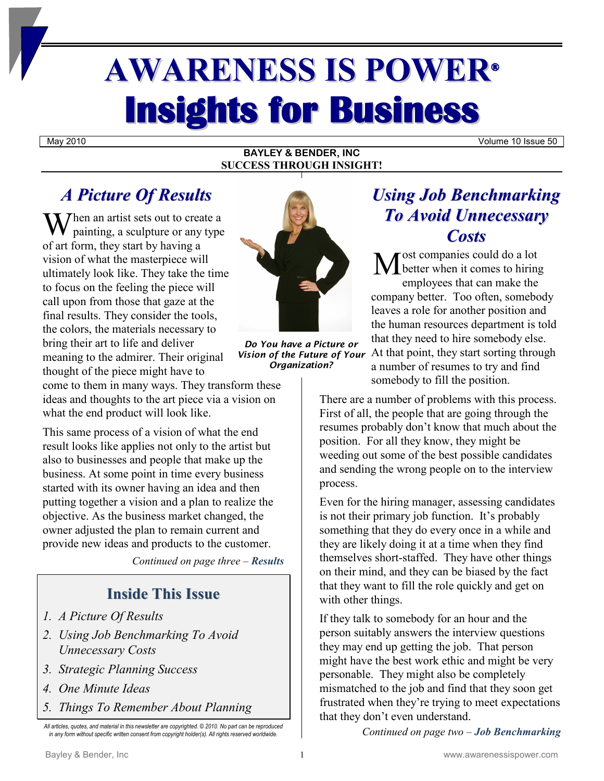# **AWARENESS IS POWER® Insights for Business**

May 2010 Volume 10 Issue 50

#### **BAYLEY & BENDER, INC SUCCESS THROUGH INSIGHT!**

# *A Picture Of Results*

When an artist sets out to create a<br>painting, a sculpture or any type painting, a sculpture or any type of art form, they start by having a vision of what the masterpiece will ultimately look like. They take the time to focus on the feeling the piece will call upon from those that gaze at the final results. They consider the tools, the colors, the materials necessary to bring their art to life and deliver meaning to the admirer. Their original thought of the piece might have to

come to them in many ways. They transform these ideas and thoughts to the art piece via a vision on what the end product will look like.

This same process of a vision of what the end result looks like applies not only to the artist but also to businesses and people that make up the business. At some point in time every business started with its owner having an idea and then putting together a vision and a plan to realize the objective. As the business market changed, the owner adjusted the plan to remain current and provide new ideas and products to the customer.

*Continued on page three – Results*

## **Inside This Issue**

- *1. A Picture Of Results*
- *2. Using Job Benchmarking To Avoid Unnecessary Costs*
- *3. Strategic Planning Success*
- *4. One Minute Ideas*
- *5. Things To Remember About Planning*

*All articles, quotes, and material in this newsletter are copyrighted. © 2010. No part can be reproduced in any form without specific written consent from copyright holder(s). All rights reserved worldwide.*



*Do You have a Picture or Vision of the Future of Your Organization?*

## *Using Job Benchmarking To Avoid Unnecessary Costs*

ost companies could do a lot better when it comes to hiring employees that can make the company better. Too often, somebody leaves a role for another position and the human resources department is told that they need to hire somebody else. At that point, they start sorting through a number of resumes to try and find somebody to fill the position. M

There are a number of problems with this process. First of all, the people that are going through the resumes probably don't know that much about the position. For all they know, they might be weeding out some of the best possible candidates and sending the wrong people on to the interview process.

Even for the hiring manager, assessing candidates is not their primary job function. It's probably something that they do every once in a while and they are likely doing it at a time when they find themselves short-staffed. They have other things on their mind, and they can be biased by the fact that they want to fill the role quickly and get on with other things.

If they talk to somebody for an hour and the person suitably answers the interview questions they may end up getting the job. That person might have the best work ethic and might be very personable. They might also be completely mismatched to the job and find that they soon get frustrated when they're trying to meet expectations that they don't even understand.

*Continued on page two – Job Benchmarking*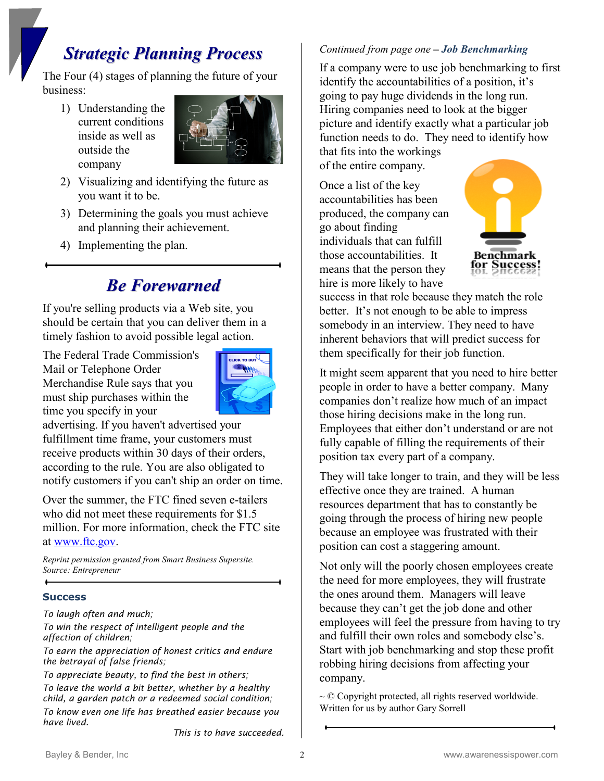## *Strategic Planning Process*

The Four (4) stages of planning the future of your business:

1) Understanding the current conditions inside as well as outside the company



- 2) Visualizing and identifying the future as you want it to be.
- 3) Determining the goals you must achieve and planning their achievement.
- 4) Implementing the plan.

## *Be Forewarned*

If you're selling products via a Web site, you should be certain that you can deliver them in a timely fashion to avoid possible legal action.

The Federal Trade Commission's Mail or Telephone Order Merchandise Rule says that you must ship purchases within the time you specify in your



advertising. If you haven't advertised your fulfillment time frame, your customers must receive products within 30 days of their orders, according to the rule. You are also obligated to notify customers if you can't ship an order on time.

Over the summer, the FTC fined seven e-tailers who did not meet these requirements for \$1.5 million. For more information, check the FTC site at [www.ftc.gov.](http://www.ftc.gov/)

*Reprint permission granted from Smart Business Supersite. Source: Entrepreneur*

#### **Success**

*To laugh often and much;*

*To win the respect of intelligent people and the affection of children;*

*To earn the appreciation of honest critics and endure the betrayal of false friends;*

*To appreciate beauty, to find the best in others; To leave the world a bit better, whether by a healthy child, a garden patch or a redeemed social condition; To know even one life has breathed easier because you have lived.*

*This is to have succeeded.*

## *Continued from page one – Job Benchmarking*

If a company were to use job benchmarking to first identify the accountabilities of a position, it's going to pay huge dividends in the long run. Hiring companies need to look at the bigger picture and identify exactly what a particular job function needs to do. They need to identify how that fits into the workings

of the entire company.

Once a list of the key accountabilities has been produced, the company can go about finding individuals that can fulfill those accountabilities. It means that the person they hire is more likely to have



success in that role because they match the role better. It's not enough to be able to impress somebody in an interview. They need to have inherent behaviors that will predict success for them specifically for their job function.

It might seem apparent that you need to hire better people in order to have a better company. Many companies don't realize how much of an impact those hiring decisions make in the long run. Employees that either don't understand or are not fully capable of filling the requirements of their position tax every part of a company.

They will take longer to train, and they will be less effective once they are trained. A human resources department that has to constantly be going through the process of hiring new people because an employee was frustrated with their position can cost a staggering amount.

Not only will the poorly chosen employees create the need for more employees, they will frustrate the ones around them. Managers will leave because they can't get the job done and other employees will feel the pressure from having to try and fulfill their own roles and somebody else's. Start with job benchmarking and stop these profit robbing hiring decisions from affecting your company.

 $\sim$  © Copyright protected, all rights reserved worldwide. Written for us by author Gary Sorrell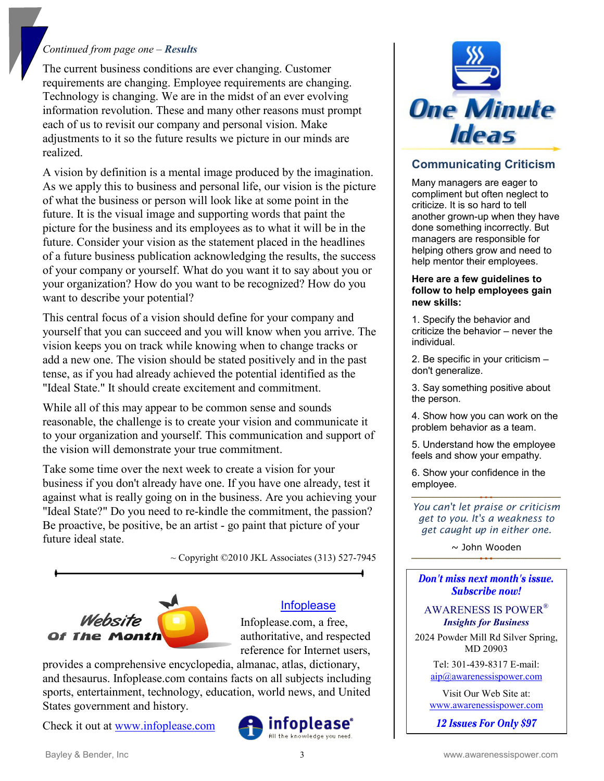#### *Continued from page one – Results*

The current business conditions are ever changing. Customer requirements are changing. Employee requirements are changing. Technology is changing. We are in the midst of an ever evolving information revolution. These and many other reasons must prompt each of us to revisit our company and personal vision. Make adjustments to it so the future results we picture in our minds are realized.

A vision by definition is a mental image produced by the imagination. As we apply this to business and personal life, our vision is the picture of what the business or person will look like at some point in the future. It is the visual image and supporting words that paint the picture for the business and its employees as to what it will be in the future. Consider your vision as the statement placed in the headlines of a future business publication acknowledging the results, the success of your company or yourself. What do you want it to say about you or your organization? How do you want to be recognized? How do you want to describe your potential?

This central focus of a vision should define for your company and yourself that you can succeed and you will know when you arrive. The vision keeps you on track while knowing when to change tracks or add a new one. The vision should be stated positively and in the past tense, as if you had already achieved the potential identified as the "Ideal State." It should create excitement and commitment.

While all of this may appear to be common sense and sounds reasonable, the challenge is to create your vision and communicate it to your organization and yourself. This communication and support of the vision will demonstrate your true commitment.

Take some time over the next week to create a vision for your business if you don't already have one. If you have one already, test it against what is really going on in the business. Are you achieving your "Ideal State?" Do you need to re-kindle the commitment, the passion? Be proactive, be positive, be an artist - go paint that picture of your future ideal state

 $\sim$  Copyright ©2010 JKL Associates (313) 527-7945



#### [Infoplease](http://www.infoplease.com/)

Infoplease.com, a free, authoritative, and respected reference for Internet users,

provides a comprehensive encyclopedia, almanac, atlas, dictionary, and thesaurus. Infoplease.com contains facts on all subjects including sports, entertainment, technology, education, world news, and United States government and history.

Check it out at [www.infoplease.com](http://www.infoplease.com/)





## **Communicating Criticism**

Many managers are eager to compliment but often neglect to criticize. It is so hard to tell another grown-up when they have done something incorrectly. But managers are responsible for helping others grow and need to help mentor their employees.

#### **Here are a few guidelines to follow to help employees gain new skills:**

1. Specify the behavior and criticize the behavior – never the individual.

2. Be specific in your criticism don't generalize.

3. Say something positive about the person.

4. Show how you can work on the problem behavior as a team.

5. Understand how the employee feels and show your empathy.

6. Show your confidence in the employee.

*You can't let praise or criticism get to you. It's a weakness to get caught up in either one.*

~ John Wooden

Don't miss next month's issue. Subscribe now!

#### AWARENESS IS POWER® *Insights for Business*

2024 Powder Mill Rd Silver Spring, MD 20903

> Tel: 301-439-8317 E-mail: [aip@awarenessispower.com](mailto:aip@awarenessispower.com)

Visit Our Web Site at: [www.awarenessispower.com](http://www.awarenessispower.com/)

12 Issues For Only \$97